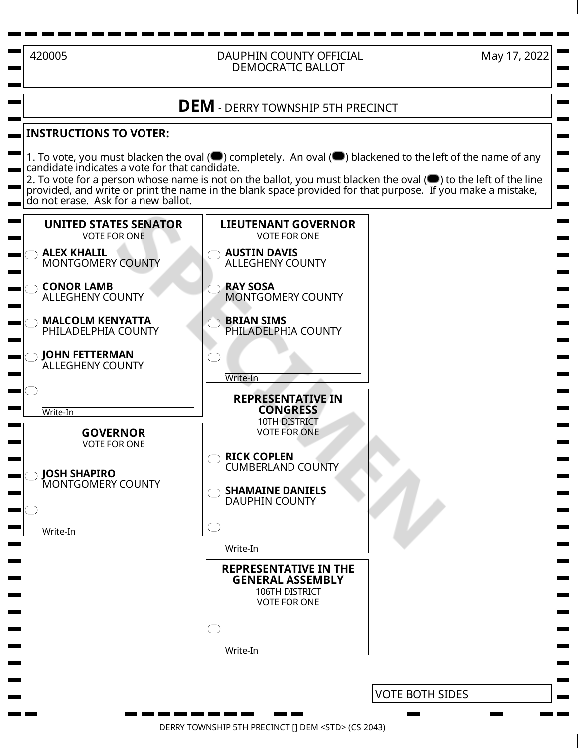## 420005 DAUPHIN COUNTY OFFICIAL DEMOCRATIC BALLOT

May 17, 2022

## **DEM** - DERRY TOWNSHIP 5TH PRECINCT

## **INSTRUCTIONS TO VOTER:**

1. To vote, you must blacken the oval (C) completely. An oval (C) blackened to the left of the name of any candidate indicates a vote for that candidate.

2. To vote for a person whose name is not on the ballot, you must blacken the oval  $($ **)** to the left of the line provided, and write or print the name in the blank space provided for that purpose. If you make a mistake, do not erase. Ask for a new ballot.



VOTE BOTH SIDES